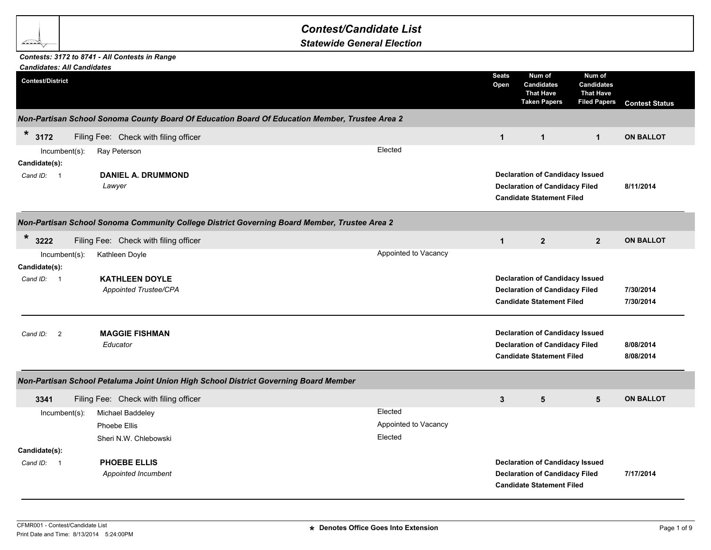## *Contest/Candidate List*

*Statewide General Election*

## *Contests: 3172 to 8741 - All Contests in Range*

| <b>Candidates: All Candidates</b>    |                                                                                                |                      |                      |                                                                                                                     |                                                                        |                        |
|--------------------------------------|------------------------------------------------------------------------------------------------|----------------------|----------------------|---------------------------------------------------------------------------------------------------------------------|------------------------------------------------------------------------|------------------------|
| <b>Contest/District</b>              |                                                                                                |                      | <b>Seats</b><br>Open | Num of<br><b>Candidates</b><br><b>That Have</b><br><b>Taken Papers</b>                                              | Num of<br><b>Candidates</b><br><b>That Have</b><br><b>Filed Papers</b> | <b>Contest Status</b>  |
|                                      | Non-Partisan School Sonoma County Board Of Education Board Of Education Member, Trustee Area 2 |                      |                      |                                                                                                                     |                                                                        |                        |
| $\ast$<br>3172                       | Filing Fee: Check with filing officer                                                          |                      | $\mathbf{1}$         | $\mathbf{1}$                                                                                                        | $\mathbf{1}$                                                           | <b>ON BALLOT</b>       |
| Incumbent(s):<br>Candidate(s):       | Ray Peterson                                                                                   | Elected              |                      |                                                                                                                     |                                                                        |                        |
| Cand ID: 1                           | <b>DANIEL A. DRUMMOND</b><br>Lawyer                                                            |                      |                      | <b>Declaration of Candidacy Issued</b><br><b>Declaration of Candidacy Filed</b><br><b>Candidate Statement Filed</b> |                                                                        | 8/11/2014              |
|                                      | Non-Partisan School Sonoma Community College District Governing Board Member, Trustee Area 2   |                      |                      |                                                                                                                     |                                                                        |                        |
| $\ast$<br>3222                       | Filing Fee: Check with filing officer                                                          |                      | $\mathbf{1}$         | $\overline{2}$                                                                                                      | $\overline{2}$                                                         | <b>ON BALLOT</b>       |
| $Incumbent(s)$ :<br>Candidate(s):    | Kathleen Doyle                                                                                 | Appointed to Vacancy |                      |                                                                                                                     |                                                                        |                        |
| Cand ID: 1                           | <b>KATHLEEN DOYLE</b><br>Appointed Trustee/CPA                                                 |                      |                      | <b>Declaration of Candidacy Issued</b><br><b>Declaration of Candidacy Filed</b><br><b>Candidate Statement Filed</b> |                                                                        | 7/30/2014<br>7/30/2014 |
| $\overline{\phantom{0}}$<br>Cand ID: | <b>MAGGIE FISHMAN</b><br>Educator                                                              |                      |                      | <b>Declaration of Candidacy Issued</b><br><b>Declaration of Candidacy Filed</b><br><b>Candidate Statement Filed</b> |                                                                        | 8/08/2014<br>8/08/2014 |
|                                      | Non-Partisan School Petaluma Joint Union High School District Governing Board Member           |                      |                      |                                                                                                                     |                                                                        |                        |
| 3341                                 | Filing Fee: Check with filing officer                                                          |                      | 3                    | $5\phantom{.0}$                                                                                                     | $5\phantom{.0}$                                                        | <b>ON BALLOT</b>       |
| Incumbent(s):                        | Michael Baddeley                                                                               | Elected              |                      |                                                                                                                     |                                                                        |                        |
|                                      | Phoebe Ellis                                                                                   | Appointed to Vacancy |                      |                                                                                                                     |                                                                        |                        |
|                                      | Sheri N.W. Chlebowski                                                                          | Elected              |                      |                                                                                                                     |                                                                        |                        |
| Candidate(s):                        |                                                                                                |                      |                      |                                                                                                                     |                                                                        |                        |
| Cand ID: 1                           | PHOEBE ELLIS<br>Appointed Incumbent                                                            |                      |                      | <b>Declaration of Candidacy Issued</b><br><b>Declaration of Candidacy Filed</b><br><b>Candidate Statement Filed</b> |                                                                        | 7/17/2014              |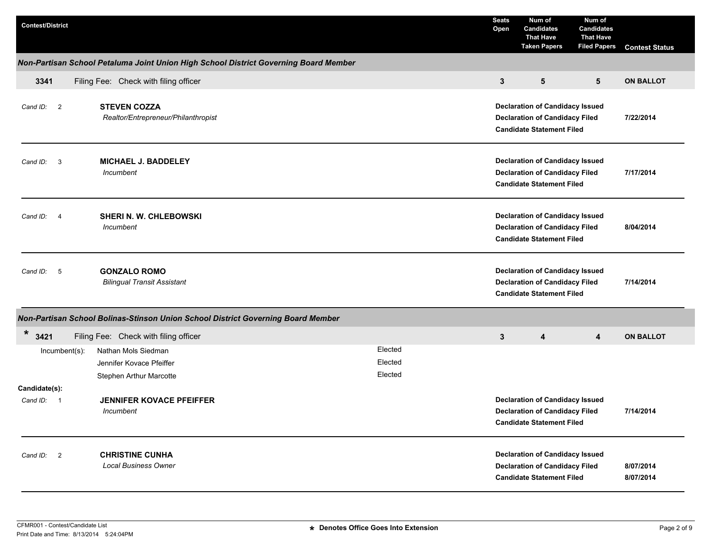| <b>Contest/District</b>                                 |                                                                                      |         | <b>Seats</b><br>Open | Num of<br><b>Candidates</b><br><b>That Have</b><br><b>Taken Papers</b>                                              | Num of<br><b>Candidates</b><br><b>That Have</b><br><b>Filed Papers</b> | <b>Contest Status</b>  |
|---------------------------------------------------------|--------------------------------------------------------------------------------------|---------|----------------------|---------------------------------------------------------------------------------------------------------------------|------------------------------------------------------------------------|------------------------|
|                                                         | Non-Partisan School Petaluma Joint Union High School District Governing Board Member |         |                      |                                                                                                                     |                                                                        |                        |
| 3341                                                    | Filing Fee: Check with filing officer                                                |         | $\mathbf{3}$         | 5                                                                                                                   | 5                                                                      | <b>ON BALLOT</b>       |
| Cand ID: 2                                              | <b>STEVEN COZZA</b><br>Realtor/Entrepreneur/Philanthropist                           |         |                      | <b>Declaration of Candidacy Issued</b><br><b>Declaration of Candidacy Filed</b><br><b>Candidate Statement Filed</b> |                                                                        | 7/22/2014              |
| Cand ID: 3                                              | <b>MICHAEL J. BADDELEY</b><br>Incumbent                                              |         |                      | <b>Declaration of Candidacy Issued</b><br><b>Declaration of Candidacy Filed</b><br><b>Candidate Statement Filed</b> |                                                                        | 7/17/2014              |
| Cand ID: 4                                              | <b>SHERI N. W. CHLEBOWSKI</b><br>Incumbent                                           |         |                      | <b>Declaration of Candidacy Issued</b><br><b>Declaration of Candidacy Filed</b><br><b>Candidate Statement Filed</b> |                                                                        | 8/04/2014              |
| Cand ID:<br>$-5$                                        | <b>GONZALO ROMO</b><br><b>Bilingual Transit Assistant</b>                            |         |                      | <b>Declaration of Candidacy Issued</b><br><b>Declaration of Candidacy Filed</b><br><b>Candidate Statement Filed</b> |                                                                        | 7/14/2014              |
|                                                         | Non-Partisan School Bolinas-Stinson Union School District Governing Board Member     |         |                      |                                                                                                                     |                                                                        |                        |
| *<br>3421                                               | Filing Fee: Check with filing officer                                                |         | 3                    | 4                                                                                                                   | $\overline{\mathbf{4}}$                                                | <b>ON BALLOT</b>       |
| $lncumbent(s)$ :                                        | Nathan Mols Siedman                                                                  | Elected |                      |                                                                                                                     |                                                                        |                        |
|                                                         | Jennifer Kovace Pfeiffer                                                             | Elected |                      |                                                                                                                     |                                                                        |                        |
|                                                         | Stephen Arthur Marcotte                                                              | Elected |                      |                                                                                                                     |                                                                        |                        |
| Candidate(s):<br>Cand ID:<br>$\overline{\phantom{0}}$ 1 | <b>JENNIFER KOVACE PFEIFFER</b><br>Incumbent                                         |         |                      | <b>Declaration of Candidacy Issued</b><br><b>Declaration of Candidacy Filed</b><br><b>Candidate Statement Filed</b> |                                                                        | 7/14/2014              |
| Cand ID: 2                                              | <b>CHRISTINE CUNHA</b><br><b>Local Business Owner</b>                                |         |                      | <b>Declaration of Candidacy Issued</b><br><b>Declaration of Candidacy Filed</b><br><b>Candidate Statement Filed</b> |                                                                        | 8/07/2014<br>8/07/2014 |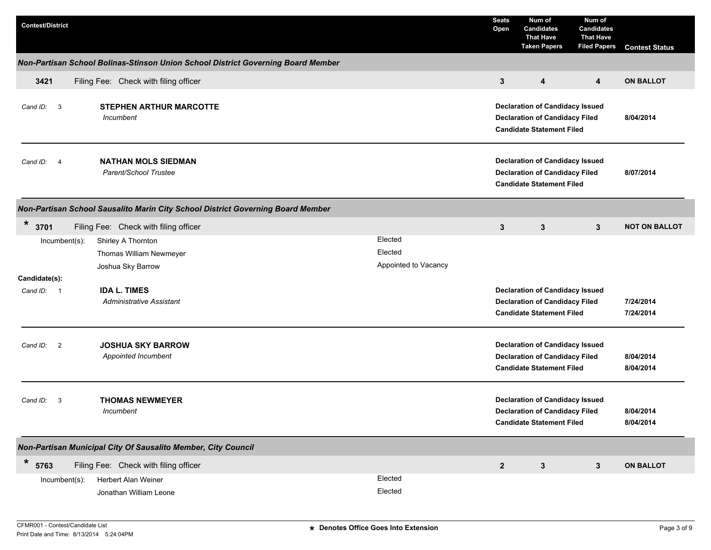| <b>Contest/District</b> |                                                                                  |                      | <b>Seats</b><br>Open | Num of<br><b>Candidates</b><br><b>That Have</b><br><b>Taken Papers</b>                                              | Num of<br><b>Candidates</b><br><b>That Have</b><br><b>Filed Papers</b> | <b>Contest Status</b>  |
|-------------------------|----------------------------------------------------------------------------------|----------------------|----------------------|---------------------------------------------------------------------------------------------------------------------|------------------------------------------------------------------------|------------------------|
|                         | Non-Partisan School Bolinas-Stinson Union School District Governing Board Member |                      |                      |                                                                                                                     |                                                                        |                        |
| 3421                    | Filing Fee: Check with filing officer                                            |                      | 3                    | 4                                                                                                                   | 4                                                                      | <b>ON BALLOT</b>       |
| Cand ID: 3              | <b>STEPHEN ARTHUR MARCOTTE</b><br><b>Incumbent</b>                               |                      |                      | <b>Declaration of Candidacy Issued</b><br><b>Declaration of Candidacy Filed</b><br><b>Candidate Statement Filed</b> |                                                                        | 8/04/2014              |
| Cand ID: 4              | <b>NATHAN MOLS SIEDMAN</b><br>Parent/School Trustee                              |                      |                      | <b>Declaration of Candidacy Issued</b><br><b>Declaration of Candidacy Filed</b><br><b>Candidate Statement Filed</b> |                                                                        | 8/07/2014              |
|                         | Non-Partisan School Sausalito Marin City School District Governing Board Member  |                      |                      |                                                                                                                     |                                                                        |                        |
| *<br>3701               | Filing Fee: Check with filing officer                                            |                      | 3                    | 3                                                                                                                   | $\mathbf{3}$                                                           | <b>NOT ON BALLOT</b>   |
| $Incumbent(s)$ :        | Shirley A Thornton                                                               | Elected              |                      |                                                                                                                     |                                                                        |                        |
|                         | Thomas William Newmeyer                                                          | Elected              |                      |                                                                                                                     |                                                                        |                        |
|                         | Joshua Sky Barrow                                                                | Appointed to Vacancy |                      |                                                                                                                     |                                                                        |                        |
| Candidate(s):           |                                                                                  |                      |                      |                                                                                                                     |                                                                        |                        |
| Cand ID: 1              | <b>IDA L. TIMES</b>                                                              |                      |                      | <b>Declaration of Candidacy Issued</b>                                                                              |                                                                        |                        |
|                         | <b>Administrative Assistant</b>                                                  |                      |                      | <b>Declaration of Candidacy Filed</b>                                                                               |                                                                        | 7/24/2014              |
|                         |                                                                                  |                      |                      | <b>Candidate Statement Filed</b>                                                                                    |                                                                        | 7/24/2014              |
| Cand ID: 2              | <b>JOSHUA SKY BARROW</b><br>Appointed Incumbent                                  |                      |                      | <b>Declaration of Candidacy Issued</b><br><b>Declaration of Candidacy Filed</b><br><b>Candidate Statement Filed</b> |                                                                        | 8/04/2014<br>8/04/2014 |
| Cand ID:<br>$_{3}$      | <b>THOMAS NEWMEYER</b><br>Incumbent                                              |                      |                      | <b>Declaration of Candidacy Issued</b><br><b>Declaration of Candidacy Filed</b><br><b>Candidate Statement Filed</b> |                                                                        | 8/04/2014<br>8/04/2014 |
|                         | Non-Partisan Municipal City Of Sausalito Member, City Council                    |                      |                      |                                                                                                                     |                                                                        |                        |
| *<br>5763               | Filing Fee: Check with filing officer                                            |                      | $\overline{2}$       | $\mathbf{3}$                                                                                                        | $3\phantom{.0}$                                                        | <b>ON BALLOT</b>       |
| Incumbent(s):           | Herbert Alan Weiner                                                              | Elected              |                      |                                                                                                                     |                                                                        |                        |
|                         | Jonathan William Leone                                                           | Elected              |                      |                                                                                                                     |                                                                        |                        |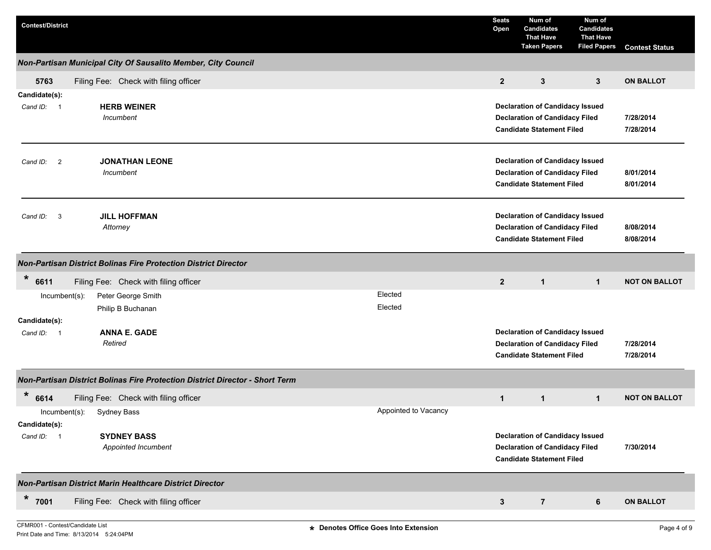| <b>Contest/District</b>                                                      | <b>Seats</b><br>Open | Num of<br><b>Candidates</b><br><b>That Have</b><br><b>Taken Papers</b>                                              | Num of<br><b>Candidates</b><br><b>That Have</b><br><b>Filed Papers</b> | <b>Contest Status</b>  |
|------------------------------------------------------------------------------|----------------------|---------------------------------------------------------------------------------------------------------------------|------------------------------------------------------------------------|------------------------|
| Non-Partisan Municipal City Of Sausalito Member, City Council                |                      |                                                                                                                     |                                                                        |                        |
| Filing Fee: Check with filing officer<br>5763                                | $\overline{2}$       | 3                                                                                                                   | 3                                                                      | <b>ON BALLOT</b>       |
| Candidate(s):<br><b>HERB WEINER</b><br>Cand ID: 1<br>Incumbent               |                      | <b>Declaration of Candidacy Issued</b><br><b>Declaration of Candidacy Filed</b><br><b>Candidate Statement Filed</b> |                                                                        | 7/28/2014<br>7/28/2014 |
| <b>JONATHAN LEONE</b><br>Cand ID: 2<br>Incumbent                             |                      | <b>Declaration of Candidacy Issued</b><br><b>Declaration of Candidacy Filed</b><br><b>Candidate Statement Filed</b> |                                                                        | 8/01/2014<br>8/01/2014 |
| <b>JILL HOFFMAN</b><br>Cand ID: 3<br>Attorney                                |                      | <b>Declaration of Candidacy Issued</b><br><b>Declaration of Candidacy Filed</b><br><b>Candidate Statement Filed</b> |                                                                        | 8/08/2014<br>8/08/2014 |
| <b>Non-Partisan District Bolinas Fire Protection District Director</b>       |                      |                                                                                                                     |                                                                        |                        |
| *<br>6611<br>Filing Fee: Check with filing officer                           | $\mathbf{2}$         | $\mathbf{1}$                                                                                                        | $\mathbf 1$                                                            | <b>NOT ON BALLOT</b>   |
| Elected<br>Incumbent(s):<br>Peter George Smith                               |                      |                                                                                                                     |                                                                        |                        |
| Elected<br>Philip B Buchanan<br>Candidate(s):                                |                      |                                                                                                                     |                                                                        |                        |
| <b>ANNA E. GADE</b><br>Cand ID: 1<br>Retired                                 |                      | <b>Declaration of Candidacy Issued</b><br><b>Declaration of Candidacy Filed</b><br><b>Candidate Statement Filed</b> |                                                                        | 7/28/2014<br>7/28/2014 |
| Non-Partisan District Bolinas Fire Protection District Director - Short Term |                      |                                                                                                                     |                                                                        |                        |
| *<br>6614<br>Filing Fee: Check with filing officer                           | $\mathbf{1}$         | $\mathbf{1}$                                                                                                        | $\mathbf 1$                                                            | <b>NOT ON BALLOT</b>   |
| Appointed to Vacancy<br>$Incumbent(s)$ :<br>Sydney Bass<br>Candidate(s):     |                      |                                                                                                                     |                                                                        |                        |
| <b>SYDNEY BASS</b><br>Cand ID: 1<br>Appointed Incumbent                      |                      | <b>Declaration of Candidacy Issued</b><br><b>Declaration of Candidacy Filed</b><br><b>Candidate Statement Filed</b> |                                                                        | 7/30/2014              |
| Non-Partisan District Marin Healthcare District Director                     |                      |                                                                                                                     |                                                                        |                        |
| $\star$<br>7001<br>Filing Fee: Check with filing officer                     | $\mathbf{3}$         | $\overline{7}$                                                                                                      | 6                                                                      | <b>ON BALLOT</b>       |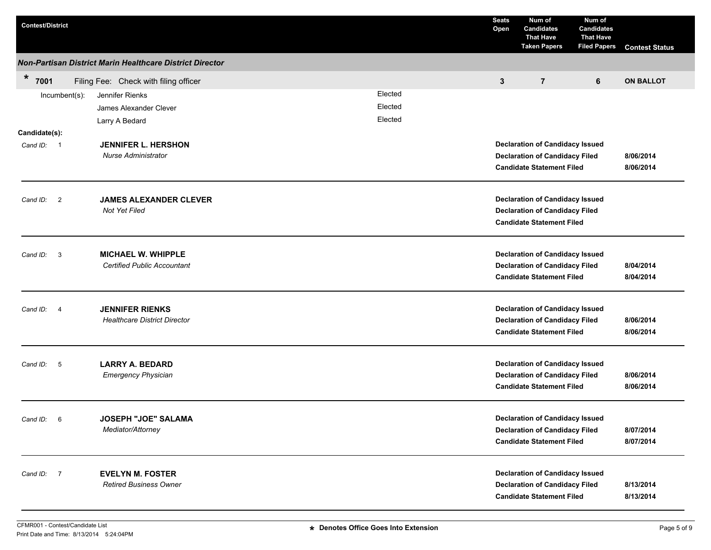| <b>Contest/District</b>                                          | <b>Seats</b><br>Open | Num of<br><b>Candidates</b><br><b>That Have</b><br><b>Taken Papers</b>    | Num of<br><b>Candidates</b><br><b>That Have</b><br><b>Filed Papers</b> | <b>Contest Status</b>  |
|------------------------------------------------------------------|----------------------|---------------------------------------------------------------------------|------------------------------------------------------------------------|------------------------|
| Non-Partisan District Marin Healthcare District Director         |                      |                                                                           |                                                                        |                        |
| $\star$<br>7001<br>Filing Fee: Check with filing officer         | $\mathbf{3}$         | $\overline{7}$                                                            | 6                                                                      | <b>ON BALLOT</b>       |
| Elected<br>Jennifer Rienks<br>Incumbent(s):                      |                      |                                                                           |                                                                        |                        |
| Elected<br>James Alexander Clever                                |                      |                                                                           |                                                                        |                        |
| Elected<br>Larry A Bedard                                        |                      |                                                                           |                                                                        |                        |
| Candidate(s):                                                    |                      |                                                                           |                                                                        |                        |
| <b>JENNIFER L. HERSHON</b><br>Cand ID: 1                         |                      | <b>Declaration of Candidacy Issued</b>                                    |                                                                        |                        |
| Nurse Administrator                                              |                      | <b>Declaration of Candidacy Filed</b><br><b>Candidate Statement Filed</b> |                                                                        | 8/06/2014<br>8/06/2014 |
|                                                                  |                      |                                                                           |                                                                        |                        |
|                                                                  |                      | <b>Declaration of Candidacy Issued</b>                                    |                                                                        |                        |
| <b>JAMES ALEXANDER CLEVER</b><br>Cand ID: 2<br>Not Yet Filed     |                      | <b>Declaration of Candidacy Filed</b>                                     |                                                                        |                        |
|                                                                  |                      | <b>Candidate Statement Filed</b>                                          |                                                                        |                        |
| <b>MICHAEL W. WHIPPLE</b><br>$\overline{\mathbf{3}}$<br>Cand ID: |                      | <b>Declaration of Candidacy Issued</b>                                    |                                                                        |                        |
| <b>Certified Public Accountant</b>                               |                      | <b>Declaration of Candidacy Filed</b>                                     |                                                                        | 8/04/2014              |
|                                                                  |                      | <b>Candidate Statement Filed</b>                                          |                                                                        | 8/04/2014              |
| <b>JENNIFER RIENKS</b><br>Cand ID: 4                             |                      | <b>Declaration of Candidacy Issued</b>                                    |                                                                        |                        |
| <b>Healthcare District Director</b>                              |                      | <b>Declaration of Candidacy Filed</b>                                     |                                                                        | 8/06/2014              |
|                                                                  |                      | <b>Candidate Statement Filed</b>                                          |                                                                        | 8/06/2014              |
| <b>LARRY A. BEDARD</b><br>Cand ID: 5                             |                      | <b>Declaration of Candidacy Issued</b>                                    |                                                                        |                        |
| <b>Emergency Physician</b>                                       |                      | <b>Declaration of Candidacy Filed</b>                                     |                                                                        | 8/06/2014              |
|                                                                  |                      | <b>Candidate Statement Filed</b>                                          |                                                                        | 8/06/2014              |
| Cand ID: 6<br><b>JOSEPH "JOE" SALAMA</b>                         |                      | <b>Declaration of Candidacy Issued</b>                                    |                                                                        |                        |
| Mediator/Attorney                                                |                      | <b>Declaration of Candidacy Filed</b>                                     |                                                                        | 8/07/2014              |
|                                                                  |                      | <b>Candidate Statement Filed</b>                                          |                                                                        | 8/07/2014              |
| <b>EVELYN M. FOSTER</b><br>Cand ID: 7                            |                      | <b>Declaration of Candidacy Issued</b>                                    |                                                                        |                        |
| <b>Retired Business Owner</b>                                    |                      | <b>Declaration of Candidacy Filed</b>                                     |                                                                        | 8/13/2014              |
|                                                                  |                      | <b>Candidate Statement Filed</b>                                          |                                                                        | 8/13/2014              |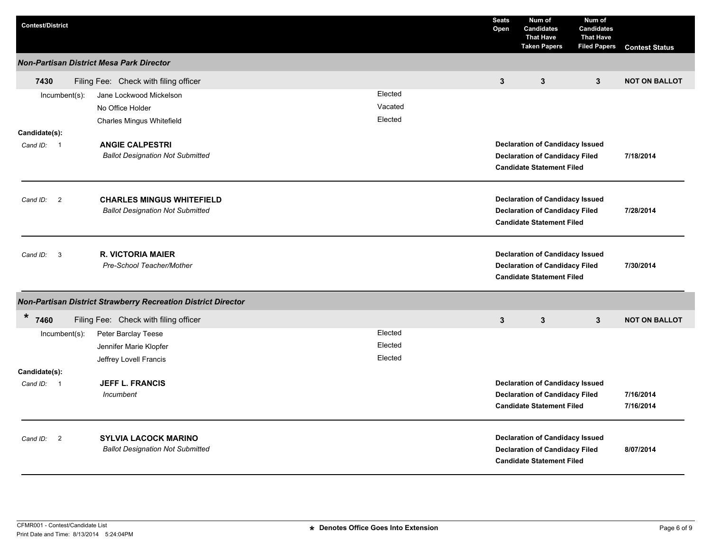| <b>Contest/District</b>    |                                                                        |         | <b>Seats</b><br>Open                                                      | Num of<br><b>Candidates</b><br><b>That Have</b><br><b>Taken Papers</b>                                              | Num of<br><b>Candidates</b><br><b>That Have</b><br><b>Filed Papers</b> | <b>Contest Status</b>  |
|----------------------------|------------------------------------------------------------------------|---------|---------------------------------------------------------------------------|---------------------------------------------------------------------------------------------------------------------|------------------------------------------------------------------------|------------------------|
|                            | <b>Non-Partisan District Mesa Park Director</b>                        |         |                                                                           |                                                                                                                     |                                                                        |                        |
| 7430                       | Filing Fee: Check with filing officer                                  |         | $\mathbf{3}$                                                              | $\mathbf{3}$                                                                                                        | 3                                                                      | <b>NOT ON BALLOT</b>   |
| Incumbent(s):              | Jane Lockwood Mickelson                                                | Elected |                                                                           |                                                                                                                     |                                                                        |                        |
|                            | No Office Holder                                                       | Vacated |                                                                           |                                                                                                                     |                                                                        |                        |
|                            | Charles Mingus Whitefield                                              | Elected |                                                                           |                                                                                                                     |                                                                        |                        |
| Candidate(s):              |                                                                        |         |                                                                           |                                                                                                                     |                                                                        |                        |
| Cand ID: 1                 | <b>ANGIE CALPESTRI</b>                                                 |         |                                                                           | <b>Declaration of Candidacy Issued</b>                                                                              |                                                                        |                        |
|                            | <b>Ballot Designation Not Submitted</b>                                |         | <b>Declaration of Candidacy Filed</b><br><b>Candidate Statement Filed</b> |                                                                                                                     |                                                                        | 7/18/2014              |
| $\overline{2}$<br>Cand ID: | <b>CHARLES MINGUS WHITEFIELD</b>                                       |         |                                                                           | <b>Declaration of Candidacy Issued</b>                                                                              |                                                                        |                        |
|                            | <b>Ballot Designation Not Submitted</b>                                |         |                                                                           | <b>Declaration of Candidacy Filed</b><br><b>Candidate Statement Filed</b>                                           |                                                                        | 7/28/2014              |
| 3<br>Cand ID:              | <b>R. VICTORIA MAIER</b><br>Pre-School Teacher/Mother                  |         |                                                                           | <b>Declaration of Candidacy Issued</b><br><b>Declaration of Candidacy Filed</b><br><b>Candidate Statement Filed</b> |                                                                        | 7/30/2014              |
|                            | <b>Non-Partisan District Strawberry Recreation District Director</b>   |         |                                                                           |                                                                                                                     |                                                                        |                        |
| $\star$<br>7460            | Filing Fee: Check with filing officer                                  |         | $\mathbf{3}$                                                              | $\mathbf{3}$                                                                                                        | $\mathbf{3}$                                                           | <b>NOT ON BALLOT</b>   |
| $Incumbent(s)$ :           | Peter Barclay Teese                                                    | Elected |                                                                           |                                                                                                                     |                                                                        |                        |
|                            | Jennifer Marie Klopfer                                                 | Elected |                                                                           |                                                                                                                     |                                                                        |                        |
|                            | Jeffrey Lovell Francis                                                 | Elected |                                                                           |                                                                                                                     |                                                                        |                        |
| Candidate(s):              |                                                                        |         |                                                                           |                                                                                                                     |                                                                        |                        |
| Cand ID: 1                 | <b>JEFF L. FRANCIS</b>                                                 |         |                                                                           | <b>Declaration of Candidacy Issued</b>                                                                              |                                                                        |                        |
|                            | Incumbent                                                              |         |                                                                           | <b>Declaration of Candidacy Filed</b><br><b>Candidate Statement Filed</b>                                           |                                                                        | 7/16/2014<br>7/16/2014 |
| $\overline{2}$<br>Cand ID: | <b>SYLVIA LACOCK MARINO</b><br><b>Ballot Designation Not Submitted</b> |         |                                                                           | <b>Declaration of Candidacy Issued</b><br><b>Declaration of Candidacy Filed</b><br><b>Candidate Statement Filed</b> |                                                                        | 8/07/2014              |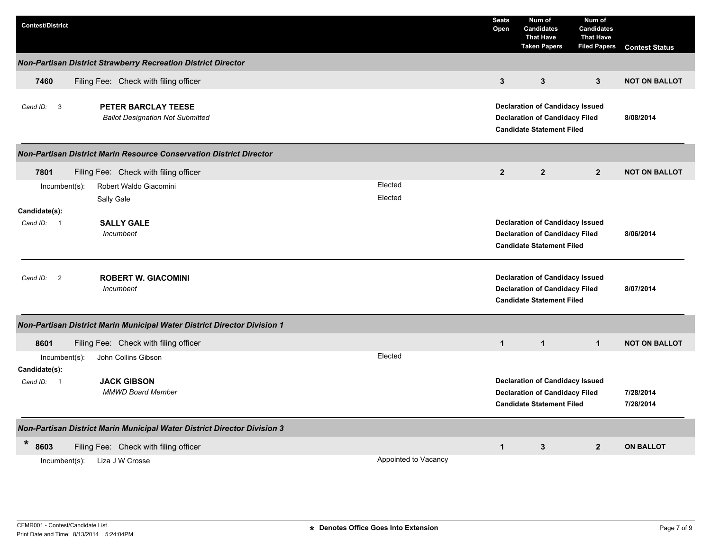| <b>Contest/District</b>                                                      |                      | <b>Seats</b><br>Open | Num of<br><b>Candidates</b><br><b>That Have</b><br><b>Taken Papers</b>                                              | Num of<br><b>Candidates</b><br><b>That Have</b><br><b>Filed Papers</b> | <b>Contest Status</b>  |
|------------------------------------------------------------------------------|----------------------|----------------------|---------------------------------------------------------------------------------------------------------------------|------------------------------------------------------------------------|------------------------|
| Non-Partisan District Strawberry Recreation District Director                |                      |                      |                                                                                                                     |                                                                        |                        |
| Filing Fee: Check with filing officer<br>7460                                |                      | $\mathbf{3}$         | $\mathbf{3}$                                                                                                        | $3^{\circ}$                                                            | <b>NOT ON BALLOT</b>   |
| PETER BARCLAY TEESE<br>Cand ID: 3<br><b>Ballot Designation Not Submitted</b> |                      |                      | <b>Declaration of Candidacy Issued</b><br><b>Declaration of Candidacy Filed</b><br><b>Candidate Statement Filed</b> |                                                                        | 8/08/2014              |
| Non-Partisan District Marin Resource Conservation District Director          |                      |                      |                                                                                                                     |                                                                        |                        |
| 7801<br>Filing Fee: Check with filing officer                                |                      | $\overline{2}$       | $\overline{2}$                                                                                                      | $\mathbf{2}$                                                           | <b>NOT ON BALLOT</b>   |
| Incumbent(s):<br>Robert Waldo Giacomini<br>Sally Gale                        | Elected<br>Elected   |                      |                                                                                                                     |                                                                        |                        |
| Candidate(s):                                                                |                      |                      |                                                                                                                     |                                                                        |                        |
| <b>SALLY GALE</b><br>Cand ID: 1<br>Incumbent                                 |                      |                      | <b>Declaration of Candidacy Issued</b><br><b>Declaration of Candidacy Filed</b><br><b>Candidate Statement Filed</b> |                                                                        | 8/06/2014              |
| <b>ROBERT W. GIACOMINI</b><br>Cand ID: 2<br>Incumbent                        |                      |                      | <b>Declaration of Candidacy Issued</b><br><b>Declaration of Candidacy Filed</b><br><b>Candidate Statement Filed</b> |                                                                        | 8/07/2014              |
| Non-Partisan District Marin Municipal Water District Director Division 1     |                      |                      |                                                                                                                     |                                                                        |                        |
| 8601<br>Filing Fee: Check with filing officer                                |                      | $\mathbf{1}$         | $\mathbf{1}$                                                                                                        | $\mathbf{1}$                                                           | <b>NOT ON BALLOT</b>   |
| John Collins Gibson<br>$Incumbent(s)$ :<br>Candidate(s):                     | Elected              |                      |                                                                                                                     |                                                                        |                        |
| <b>JACK GIBSON</b><br>Cand ID: 1<br><b>MMWD Board Member</b>                 |                      |                      | <b>Declaration of Candidacy Issued</b><br><b>Declaration of Candidacy Filed</b><br><b>Candidate Statement Filed</b> |                                                                        | 7/28/2014<br>7/28/2014 |
| Non-Partisan District Marin Municipal Water District Director Division 3     |                      |                      |                                                                                                                     |                                                                        |                        |
| $\ast$<br>8603<br>Filing Fee: Check with filing officer                      |                      | $\mathbf{1}$         | 3                                                                                                                   | $\overline{2}$                                                         | <b>ON BALLOT</b>       |
| Liza J W Crosse<br>$Incumbent(s)$ :                                          | Appointed to Vacancy |                      |                                                                                                                     |                                                                        |                        |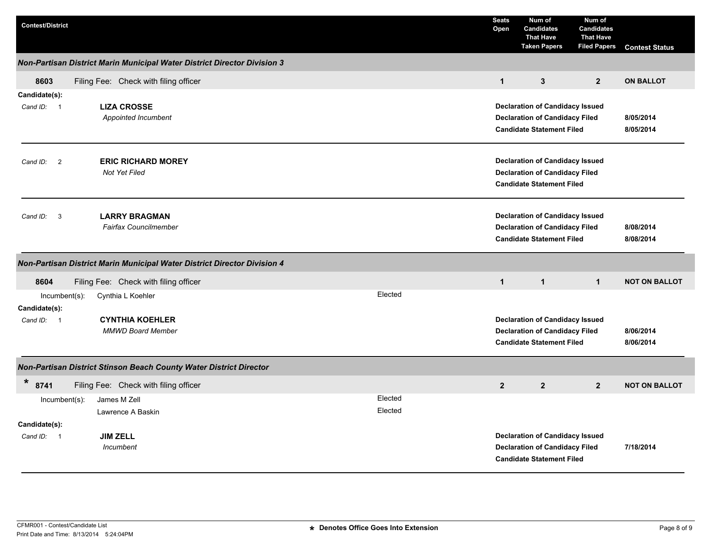| <b>Contest/District</b>           |                                                                          |                    | <b>Seats</b><br>Open | Num of<br><b>Candidates</b><br><b>That Have</b><br><b>Taken Papers</b>                                              | Num of<br><b>Candidates</b><br><b>That Have</b><br><b>Filed Papers</b> | <b>Contest Status</b>  |  |
|-----------------------------------|--------------------------------------------------------------------------|--------------------|----------------------|---------------------------------------------------------------------------------------------------------------------|------------------------------------------------------------------------|------------------------|--|
|                                   | Non-Partisan District Marin Municipal Water District Director Division 3 |                    |                      |                                                                                                                     |                                                                        |                        |  |
| 8603                              | Filing Fee: Check with filing officer                                    |                    | $\mathbf{1}$         | $\mathbf{3}$                                                                                                        | 2 <sup>2</sup>                                                         | <b>ON BALLOT</b>       |  |
| Candidate(s):<br>Cand ID: 1       | <b>LIZA CROSSE</b><br>Appointed Incumbent                                |                    |                      | <b>Declaration of Candidacy Issued</b><br><b>Declaration of Candidacy Filed</b><br><b>Candidate Statement Filed</b> |                                                                        | 8/05/2014<br>8/05/2014 |  |
| $\overline{2}$<br>Cand ID:        | <b>ERIC RICHARD MOREY</b><br><b>Not Yet Filed</b>                        |                    |                      | <b>Declaration of Candidacy Issued</b><br><b>Declaration of Candidacy Filed</b><br><b>Candidate Statement Filed</b> |                                                                        |                        |  |
| Cand ID: 3                        | <b>LARRY BRAGMAN</b><br><b>Fairfax Councilmember</b>                     |                    |                      | <b>Declaration of Candidacy Issued</b><br><b>Declaration of Candidacy Filed</b><br><b>Candidate Statement Filed</b> |                                                                        | 8/08/2014<br>8/08/2014 |  |
|                                   | Non-Partisan District Marin Municipal Water District Director Division 4 |                    |                      |                                                                                                                     |                                                                        |                        |  |
| 8604                              | Filing Fee: Check with filing officer                                    |                    | $\mathbf{1}$         | $\mathbf{1}$                                                                                                        | $\mathbf{1}$                                                           | <b>NOT ON BALLOT</b>   |  |
| $Incumbent(s)$ :<br>Candidate(s): | Cynthia L Koehler                                                        | Elected            |                      |                                                                                                                     |                                                                        |                        |  |
| Cand ID: 1                        | <b>CYNTHIA KOEHLER</b><br><b>MMWD Board Member</b>                       |                    |                      | <b>Declaration of Candidacy Issued</b><br><b>Declaration of Candidacy Filed</b><br><b>Candidate Statement Filed</b> |                                                                        |                        |  |
|                                   | Non-Partisan District Stinson Beach County Water District Director       |                    |                      |                                                                                                                     |                                                                        |                        |  |
| $\ast$<br>8741                    | Filing Fee: Check with filing officer                                    |                    | $\mathbf{2}$         | 2 <sup>2</sup>                                                                                                      | 2 <sup>2</sup>                                                         | <b>NOT ON BALLOT</b>   |  |
| $Incumbent(s)$ :                  | James M Zell<br>Lawrence A Baskin                                        | Elected<br>Elected |                      |                                                                                                                     |                                                                        |                        |  |
| Candidate(s):<br>Cand ID: 1       | <b>JIM ZELL</b><br>Incumbent                                             |                    |                      | <b>Declaration of Candidacy Issued</b><br><b>Declaration of Candidacy Filed</b><br><b>Candidate Statement Filed</b> |                                                                        | 7/18/2014              |  |